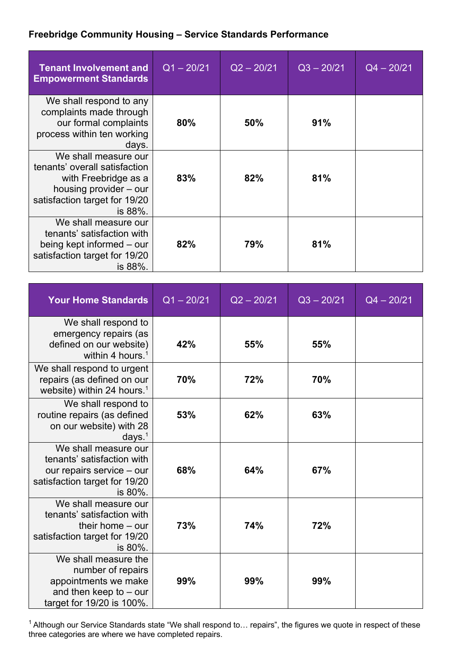## **Freebridge Community Housing – Service Standards Performance**

| <b>Tenant Involvement and</b><br><b>Empowerment Standards</b>                                                                                       | $Q1 - 20/21$ | $Q2 - 20/21$ | $Q3 - 20/21$ | $Q4 - 20/21$ |
|-----------------------------------------------------------------------------------------------------------------------------------------------------|--------------|--------------|--------------|--------------|
| We shall respond to any<br>complaints made through<br>our formal complaints<br>process within ten working<br>days.                                  | 80%          | 50%          | 91%          |              |
| We shall measure our<br>tenants' overall satisfaction<br>with Freebridge as a<br>housing provider – our<br>satisfaction target for 19/20<br>is 88%. | 83%          | 82%          | 81%          |              |
| We shall measure our<br>tenants' satisfaction with<br>being kept informed – our<br>satisfaction target for 19/20<br>is 88%.                         | 82%          | 79%          | 81%          |              |

| <b>Your Home Standards</b>                                                                                                  | $Q1 - 20/21$ | $Q2 - 20/21$ | $Q3 - 20/21$ | $Q4 - 20/21$ |
|-----------------------------------------------------------------------------------------------------------------------------|--------------|--------------|--------------|--------------|
| We shall respond to<br>emergency repairs (as<br>defined on our website)<br>within 4 hours. <sup>1</sup>                     | 42%          | 55%          | 55%          |              |
| We shall respond to urgent<br>repairs (as defined on our<br>website) within 24 hours. <sup>1</sup>                          | 70%          | 72%          | 70%          |              |
| We shall respond to<br>routine repairs (as defined<br>on our website) with 28<br>days. $1$                                  | 53%          | 62%          | 63%          |              |
| We shall measure our<br>tenants' satisfaction with<br>our repairs service - our<br>satisfaction target for 19/20<br>is 80%. | 68%          | 64%          | 67%          |              |
| We shall measure our<br>tenants' satisfaction with<br>their home $-$ our<br>satisfaction target for 19/20<br>is 80%.        | 73%          | 74%          | 72%          |              |
| We shall measure the<br>number of repairs<br>appointments we make<br>and then keep to $-$ our<br>target for 19/20 is 100%.  | 99%          | 99%          | 99%          |              |

 $1$  Although our Service Standards state "We shall respond to... repairs", the figures we quote in respect of these three categories are where we have completed repairs.